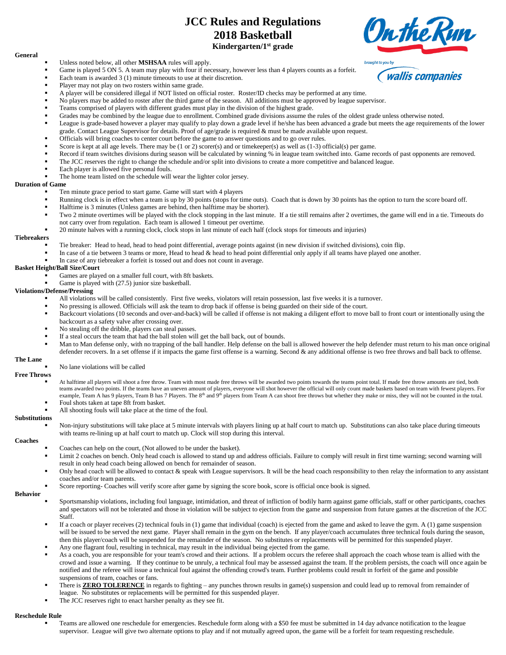# **JCC Rules and Regulations 2018 Basketball Kindergarten/1 st grade**

#### **General**

- Unless noted below, all other **MSHSAA** rules will apply.
- Game is played 5 ON 5. A team may play with four if necessary, however less than 4 players counts as a forfeit.
- Each team is awarded  $3(1)$  minute timeouts to use at their discretion.
- Player may not play on two rosters within same grade.
- A player will be considered illegal if NOT listed on official roster. Roster/ID checks may be performed at any time.
- No players may be added to roster after the third game of the season. All additions must be approved by league supervisor.
- Teams comprised of players with different grades must play in the division of the highest grade.
- Grades may be combined by the league due to enrollment. Combined grade divisions assume the rules of the oldest grade unless otherwise noted.
- League is grade-based however a player may qualify to play down a grade level if he/she has been advanced a grade but meets the age requirements of the lower grade. Contact League Supervisor for details. Proof of age/grade is required & must be made available upon request.
- Officials will bring coaches to center court before the game to answer questions and to go over rules.
- Score is kept at all age levels. There may be  $(1 \text{ or } 2)$  scorer(s) and or timekeeper(s) as well as  $(1-3)$  official(s) per game.
- Record if team switches divisions during season will be calculated by winning % in league team switched into. Game records of past opponents are removed.
- The JCC reserves the right to change the schedule and/or split into divisions to create a more competitive and balanced league.
- Each player is allowed five personal fouls.
- The home team listed on the schedule will wear the lighter color jersey.

## **Duration of Game**

- Ten minute grace period to start game. Game will start with 4 players
- Running clock is in effect when a team is up by 30 points (stops for time outs). Coach that is down by 30 points has the option to turn the score board off.
- Halftime is 3 minutes (Unless games are behind, then halftime may be shorter).
- Two 2 minute overtimes will be played with the clock stopping in the last minute. If a tie still remains after 2 overtimes, the game will end in a tie. Timeouts do not carry over from regulation. Each team is allowed 1 timeout per overtime.
- 20 minute halves with a running clock, clock stops in last minute of each half (clock stops for timeouts and injuries)

## **Tiebreakers**

- Tie breaker: Head to head, head to head point differential, average points against (in new division if switched divisions), coin flip.
- In case of a tie between 3 teams or more, Head to head & head to head point differential only apply if all teams have played one another.
- In case of any tiebreaker a forfeit is tossed out and does not count in average.

## **Basket Height/Ball Size/Court**

- Games are played on a smaller full court, with 8ft baskets.
- Game is played with (27.5) junior size basketball.

## **Violations/Defense/Pressing**

- All violations will be called consistently. First five weeks, violators will retain possession, last five weeks it is a turnover.
- No pressing is allowed. Officials will ask the team to drop back if offense is being guarded on their side of the court.
- Backcourt violations (10 seconds and over-and-back) will be called if offense is not making a diligent effort to move ball to front court or intentionally using the backcourt as a safety valve after crossing over.
- No stealing off the dribble, players can steal passes.
- If a steal occurs the team that had the ball stolen will get the ball back, out of bounds.
- Man to Man defense only, with no trapping of the ball handler. Help defense on the ball is allowed however the help defender must return to his man once original defender recovers. In a set offense if it impacts the game first offense is a warning. Second & any additional offense is two free throws and ball back to offense.

#### **The Lane** No lane violations will be called

## **Free Throws**

- At halftime all players will shoot a free throw. Team with most made free throws will be awarded two points towards the teams point total. If made free throw amounts are tied, both teams awarded two points. If the teams have an uneven amount of players, everyone will shot however the official will only count made baskets based on team with fewest players. For example, Team A has 9 players, Team B has 7 Players. The 8<sup>th</sup> and 9<sup>th</sup> players from Team A can shoot free throws but whether they make or miss, they will not be counted in the total.
- Foul shots taken at tape 8ft from basket.
	- All shooting fouls will take place at the time of the foul.

## **Substitutions**

Non-injury substitutions will take place at 5 minute intervals with players lining up at half court to match up. Substitutions can also take place during timeouts with teams re-lining up at half court to match up. Clock will stop during this interval.

### **Coaches**

- Coaches can help on the court, (Not allowed to be under the basket).
- Limit 2 coaches on bench. Only head coach is allowed to stand up and address officials. Failure to comply will result in first time warning; second warning will result in only head coach being allowed on bench for remainder of season.
- Only head coach will be allowed to contact & speak with League supervisors. It will be the head coach responsibility to then relay the information to any assistant coaches and/or team parents.
- Score reporting- Coaches will verify score after game by signing the score book, score is official once book is signed.

### **Behavior**

- Sportsmanship violations, including foul language, intimidation, and threat of infliction of bodily harm against game officials, staff or other participants, coaches and spectators will not be tolerated and those in violation will be subject to ejection from the game and suspension from future games at the discretion of the JCC Staff.
- If a coach or player receives (2) technical fouls in (1) game that individual (coach) is ejected from the game and asked to leave the gym. A (1) game suspension will be issued to be served the next game. Player shall remain in the gym on the bench. If any player/coach accumulates three technical fouls during the season, then this player/coach will be suspended for the remainder of the season. No substitutes or replacements will be permitted for this suspended player. Any one flagrant foul, resulting in technical, may result in the individual being ejected from the game.
- As a coach, you are responsible for your team's crowd and their actions. If a problem occurs the referee shall approach the coach whose team is allied with the crowd and issue a warning. If they continue to be unruly, a technical foul may be assessed against the team. If the problem persists, the coach will once again be notified and the referee will issue a technical foul against the offending crowd's team. Further problems could result in forfeit of the game and possible suspensions of team, coaches or fans.
- There is **ZERO TOLERENCE** in regards to fighting any punches thrown results in game(s) suspension and could lead up to removal from remainder of league. No substitutes or replacements will be permitted for this suspended player.
- The JCC reserves right to enact harsher penalty as they see fit.

### **Reschedule Rule**

Teams are allowed one reschedule for emergencies. Reschedule form along with a \$50 fee must be submitted in 14 day advance notification to the league supervisor. League will give two alternate options to play and if not mutually agreed upon, the game will be a forfeit for team requesting reschedule.



**wallis companies**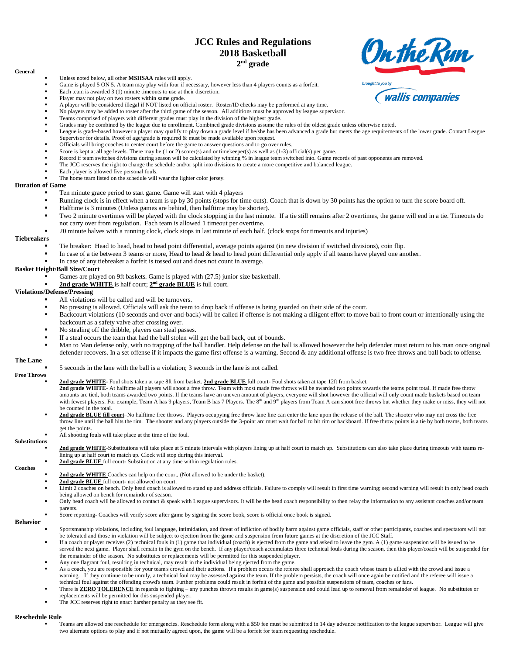## **JCC Rules and Regulations 2018 Basketball 2 nd grade**



## **General**

### Unless noted below, all other **MSHSAA** rules will apply.

- Game is played 5 ON 5. A team may play with four if necessary, however less than 4 players counts as a forfeit.
- Each team is awarded  $3(1)$  minute timeouts to use at their discretion.
- Player may not play on two rosters within same grade.
- A player will be considered illegal if NOT listed on official roster. Roster/ID checks may be performed at any time.
- No players may be added to roster after the third game of the season. All additions must be approved by league supervisor.
- Teams comprised of players with different grades must play in the division of the highest grade.
- Grades may be combined by the league due to enrollment. Combined grade divisions assume the rules of the oldest grade unless otherwise noted.
- League is grade-based however a player may qualify to play down a grade level if he/she has been advanced a grade but meets the age requirements of the lower grade. Contact League Supervisor for details. Proof of age/grade is required & must be made available upon request.
- Officials will bring coaches to center court before the game to answer questions and to go over rules.
- Score is kept at all age levels. There may be  $(1 \text{ or } 2)$  scorer(s) and or timekeeper(s) as well as  $(1-3)$  official(s) per game.
- Record if team switches divisions during season will be calculated by winning % in league team switched into. Game records of past opponents are removed.
- The JCC reserves the right to change the schedule and/or split into divisions to create a more competitive and balanced league.
- Each player is allowed five personal fouls.
- The home team listed on the schedule will wear the lighter color jersey.

## **Duration of Game**

- Ten minute grace period to start game. Game will start with 4 players
- Running clock is in effect when a team is up by 30 points (stops for time outs). Coach that is down by 30 points has the option to turn the score board off.
- Halftime is 3 minutes (Unless games are behind, then halftime may be shorter).
- Two 2 minute overtimes will be played with the clock stopping in the last minute. If a tie still remains after 2 overtimes, the game will end in a tie. Timeouts do not carry over from regulation. Each team is allowed 1 timeout per overtime.
- 20 minute halves with a running clock, clock stops in last minute of each half. (clock stops for timeouts and injuries)

## **Tiebreakers**

- Tie breaker: Head to head, head to head point differential, average points against (in new division if switched divisions), coin flip.
- In case of a tie between 3 teams or more, Head to head & head to head point differential only apply if all teams have played one another.
- In case of any tiebreaker a forfeit is tossed out and does not count in average.

## **Basket Height/Ball Size/Court**

- Games are played on 9ft baskets. Game is played with (27.5) junior size basketball.
- **2nd grade WHITE** is half court;  $2<sup>nd</sup>$  **grade BLUE** is full court.

## **Violations/Defense/Pressing**

- All violations will be called and will be turnovers.
- No pressing is allowed. Officials will ask the team to drop back if offense is being guarded on their side of the court.
- Backcourt violations (10 seconds and over-and-back) will be called if offense is not making a diligent effort to move ball to front court or intentionally using the backcourt as a safety valve after crossing over.
- No stealing off the dribble, players can steal passes.
- If a steal occurs the team that had the ball stolen will get the ball back, out of bounds.
- Man to Man defense only, with no trapping of the ball handler. Help defense on the ball is allowed however the help defender must return to his man once original defender recovers. In a set offense if it impacts the game first offense is a warning. Second & any additional offense is two free throws and ball back to offense.

## **The Lane**

▪ 5 seconds in the lane with the ball is a violation; 3 seconds in the lane is not called.

## **Free Throws**

▪ **2nd grade WHITE**- Foul shots taken at tape 8ft from basket. **2nd grade BLUE** full court- Foul shots taken at tape 12ft from basket.

- **2nd grade WHITE** At halftime all players will shoot a free throw. Team with most made free throws will be awarded two points towards the teams point total. If made free throw amounts are tied, both teams awarded two points. If the teams have an uneven amount of players, everyone will shot however the official will only count made baskets based on team with fewest players. For example, Team A has 9 players, Team B has 7 Players. The 8<sup>th</sup> and 9<sup>th</sup> players from Team A can shoot free throws but whether they make or miss, they will not be counted in the total.
- 2nd grade BLUE fill court–No halftime free throws. Players occupying free throw lane line can enter the lane upon the release of the ball. The shooter who may not cross the free throw line until the ball hits the rim. The shooter and any players outside the 3-point arc must wait for ball to hit rim or backboard. If free throw points is a tie by both teams, both teams get the points.

#### All shooting fouls will take place at the time of the foul.

- **Substitutions**
	- **2nd grade WHITE-**Substitutions will take place at 5 minute intervals with players lining up at half court to match up. Substitutions can also take place during timeouts with teams relining up at half court to match up. Clock will stop during this interval.
	- 2nd grade BLUE full court- Substitution at any time within regulation rules.

## **Coaches**

- 2nd grade WHITE Coaches can help on the court, (Not allowed to be under the basket).
- 2nd grade BLUE full court- not allowed on court.
- Limit 2 coaches on bench. Only head coach is allowed to stand up and address officials. Failure to comply will result in first time warning; second warning will result in only head coach being allowed on bench for remainder of season.
- Only head coach will be allowed to contact & speak with League supervisors. It will be the head coach responsibility to then relay the information to any assistant coaches and/or team parents.
- Score reporting- Coaches will verify score after game by signing the score book, score is official once book is signed.

## **Behavior**

- Sportsmanship violations, including foul language, intimidation, and threat of infliction of bodily harm against game officials, staff or other participants, coaches and spectators will not be tolerated and those in violation will be subject to ejection from the game and suspension from future games at the discretion of the JCC Staff.
- If a coach or player receives (2) technical fouls in (1) game that individual (coach) is ejected from the game and asked to leave the gym. A (1) game suspension will be issued to be served the next game. Player shall remain in the gym on the bench. If any player/coach accumulates three technical fouls during the season, then this player/coach will be suspended for the remainder of the season. No substitutes or replacements will be permitted for this suspended player.
- Any one flagrant foul, resulting in technical, may result in the individual being ejected from the game.
- As a coach, you are responsible for your team's crowd and their actions. If a problem occurs the referee shall approach the coach whose team is allied with the crowd and issue a warning. If they continue to be unruly, a technical foul may be assessed against the team. If the problem persists, the coach will once again be notified and the referee will issue a technical foul against the offending crowd's team. Further problems could result in forfeit of the game and possible suspensions of team, coaches or fans.
- There is **ZERO TOLERENCE** in regards to fighting any punches thrown results in game(s) suspension and could lead up to removal from remainder of league. No substitutes or replacements will be permitted for this suspended player.
- The JCC reserves right to enact harsher penalty as they see fit.

## **Reschedule Rule**

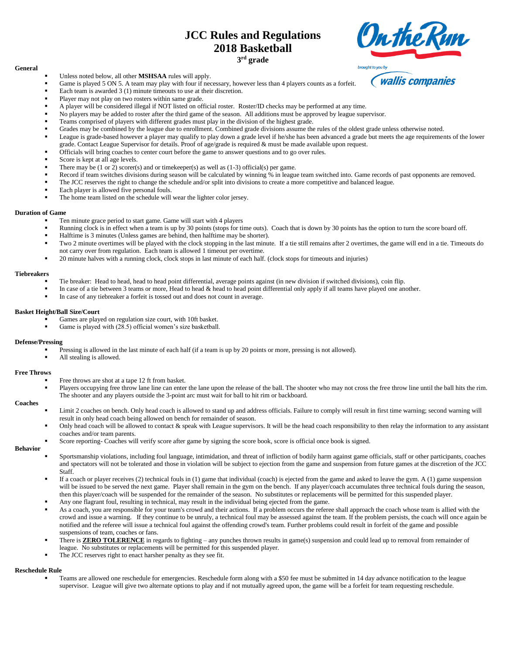# **JCC Rules and Regulations 2018 Basketball 3 rd grade**



## **General**

- Unless noted below, all other **MSHSAA** rules will apply.
- Game is played 5 ON 5. A team may play with four if necessary, however less than 4 players counts as a forfeit.
- Each team is awarded  $3(1)$  minute timeouts to use at their discretion.
- Player may not play on two rosters within same grade.
- A player will be considered illegal if NOT listed on official roster. Roster/ID checks may be performed at any time.
- No players may be added to roster after the third game of the season. All additions must be approved by league supervisor.
- Teams comprised of players with different grades must play in the division of the highest grade.
- Grades may be combined by the league due to enrollment. Combined grade divisions assume the rules of the oldest grade unless otherwise noted.
- League is grade-based however a player may qualify to play down a grade level if he/she has been advanced a grade but meets the age requirements of the lower grade. Contact League Supervisor for details. Proof of age/grade is required & must be made available upon request.
- Officials will bring coaches to center court before the game to answer questions and to go over rules.
- Score is kept at all age levels.
- There may be  $(1 \text{ or } 2)$  scorer(s) and or timekeeper(s) as well as  $(1-3)$  official(s) per game.
- Record if team switches divisions during season will be calculated by winning % in league team switched into. Game records of past opponents are removed.
- The JCC reserves the right to change the schedule and/or split into divisions to create a more competitive and balanced league.
- Each player is allowed five personal fouls.
- The home team listed on the schedule will wear the lighter color jersey.

## **Duration of Game**

- Ten minute grace period to start game. Game will start with 4 players
- Running clock is in effect when a team is up by 30 points (stops for time outs). Coach that is down by 30 points has the option to turn the score board off.
- Halftime is 3 minutes (Unless games are behind, then halftime may be shorter).
- Two 2 minute overtimes will be played with the clock stopping in the last minute. If a tie still remains after 2 overtimes, the game will end in a tie. Timeouts do not carry over from regulation. Each team is allowed 1 timeout per overtime.
- 20 minute halves with a running clock, clock stops in last minute of each half. (clock stops for timeouts and injuries)

## **Tiebreakers**

- Tie breaker: Head to head, head to head point differential, average points against (in new division if switched divisions), coin flip.
- In case of a tie between 3 teams or more, Head to head & head to head point differential only apply if all teams have played one another.
- In case of any tiebreaker a forfeit is tossed out and does not count in average.

## **Basket Height/Ball Size/Court**

- Games are played on regulation size court, with 10ft basket.
- Game is played with (28.5) official women's size basketball.

## **Defense/Pressing**

- Pressing is allowed in the last minute of each half (if a team is up by 20 points or more, pressing is not allowed).
- All stealing is allowed.

### **Free Throws**

- Free throws are shot at a tape 12 ft from basket.
- Players occupying free throw lane line can enter the lane upon the release of the ball. The shooter who may not cross the free throw line until the ball hits the rim. The shooter and any players outside the 3-point arc must wait for ball to hit rim or backboard.

## **Coaches**

- Limit 2 coaches on bench. Only head coach is allowed to stand up and address officials. Failure to comply will result in first time warning; second warning will result in only head coach being allowed on bench for remainder of season.
- Only head coach will be allowed to contact  $\&$  speak with League supervisors. It will be the head coach responsibility to then relay the information to any assistant coaches and/or team parents.
- Score reporting- Coaches will verify score after game by signing the score book, score is official once book is signed.

**Behavior**

- Sportsmanship violations, including foul language, intimidation, and threat of infliction of bodily harm against game officials, staff or other participants, coaches and spectators will not be tolerated and those in violation will be subject to ejection from the game and suspension from future games at the discretion of the JCC Staff.
- If a coach or player receives (2) technical fouls in (1) game that individual (coach) is ejected from the game and asked to leave the gym. A (1) game suspension will be issued to be served the next game. Player shall remain in the gym on the bench. If any player/coach accumulates three technical fouls during the season, then this player/coach will be suspended for the remainder of the season. No substitutes or replacements will be permitted for this suspended player.
- Any one flagrant foul, resulting in technical, may result in the individual being ejected from the game.
- As a coach, you are responsible for your team's crowd and their actions. If a problem occurs the referee shall approach the coach whose team is allied with the crowd and issue a warning. If they continue to be unruly, a technical foul may be assessed against the team. If the problem persists, the coach will once again be notified and the referee will issue a technical foul against the offending crowd's team. Further problems could result in forfeit of the game and possible suspensions of team, coaches or fans.
- There is **ZERO TOLERENCE** in regards to fighting any punches thrown results in game(s) suspension and could lead up to removal from remainder of league. No substitutes or replacements will be permitted for this suspended player.
- The JCC reserves right to enact harsher penalty as they see fit.

## **Reschedule Rule**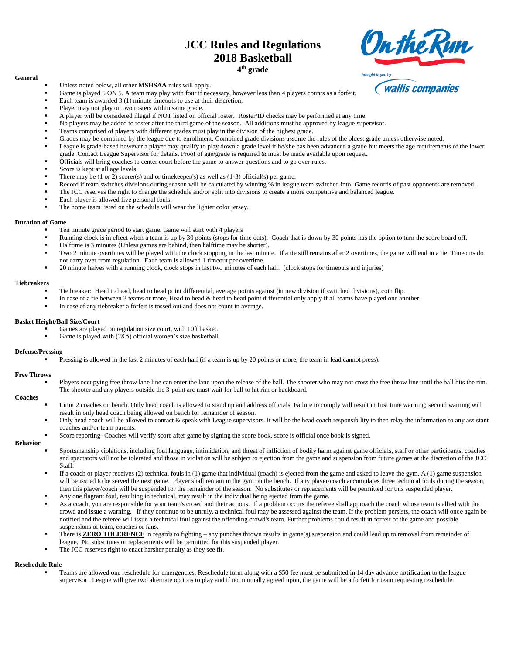# **JCC Rules and Regulations 2018 Basketball 4 th grade**

## **General**

- Unless noted below, all other **MSHSAA** rules will apply.
- Game is played 5 ON 5. A team may play with four if necessary, however less than 4 players counts as a forfeit.
- Each team is awarded  $3(1)$  minute timeouts to use at their discretion.
- Player may not play on two rosters within same grade.
- A player will be considered illegal if NOT listed on official roster. Roster/ID checks may be performed at any time.
- No players may be added to roster after the third game of the season. All additions must be approved by league supervisor.
- Teams comprised of players with different grades must play in the division of the highest grade.
- Grades may be combined by the league due to enrollment. Combined grade divisions assume the rules of the oldest grade unless otherwise noted.
- League is grade-based however a player may qualify to play down a grade level if he/she has been advanced a grade but meets the age requirements of the lower grade. Contact League Supervisor for details. Proof of age/grade is required & must be made available upon request.
- Officials will bring coaches to center court before the game to answer questions and to go over rules.
- Score is kept at all age levels.
- There may be  $(1 \text{ or } 2)$  scorer(s) and or timekeeper(s) as well as  $(1-3)$  official(s) per game.
- Record if team switches divisions during season will be calculated by winning % in league team switched into. Game records of past opponents are removed.
- The JCC reserves the right to change the schedule and/or split into divisions to create a more competitive and balanced league.
- Each player is allowed five personal fouls.
- The home team listed on the schedule will wear the lighter color jersey.

## **Duration of Game**

- Ten minute grace period to start game. Game will start with 4 players
- Running clock is in effect when a team is up by 30 points (stops for time outs). Coach that is down by 30 points has the option to turn the score board off.
- Halftime is 3 minutes (Unless games are behind, then halftime may be shorter).
- Two 2 minute overtimes will be played with the clock stopping in the last minute. If a tie still remains after 2 overtimes, the game will end in a tie. Timeouts do not carry over from regulation. Each team is allowed 1 timeout per overtime.
- 20 minute halves with a running clock, clock stops in last two minutes of each half. (clock stops for timeouts and injuries)

### **Tiebreakers**

- Tie breaker: Head to head, head to head point differential, average points against (in new division if switched divisions), coin flip.
- In case of a tie between 3 teams or more, Head to head & head to head point differential only apply if all teams have played one another.
- In case of any tiebreaker a forfeit is tossed out and does not count in average.

## **Basket Height/Ball Size/Court**

- Games are played on regulation size court, with 10ft basket.
- Game is played with (28.5) official women's size basketball.

## **Defense/Pressing**

Pressing is allowed in the last 2 minutes of each half (if a team is up by 20 points or more, the team in lead cannot press).

Score reporting- Coaches will verify score after game by signing the score book, score is official once book is signed.

### **Free Throws**

Players occupying free throw lane line can enter the lane upon the release of the ball. The shooter who may not cross the free throw line until the ball hits the rim. The shooter and any players outside the 3-point arc must wait for ball to hit rim or backboard.

## **Coaches**

- Limit 2 coaches on bench. Only head coach is allowed to stand up and address officials. Failure to comply will result in first time warning; second warning will result in only head coach being allowed on bench for remainder of season.
- Only head coach will be allowed to contact & speak with League supervisors. It will be the head coach responsibility to then relay the information to any assistant coaches and/or team parents.

## **Behavior**

- Sportsmanship violations, including foul language, intimidation, and threat of infliction of bodily harm against game officials, staff or other participants, coaches and spectators will not be tolerated and those in violation will be subject to ejection from the game and suspension from future games at the discretion of the JCC
- Staff.
- If a coach or player receives (2) technical fouls in (1) game that individual (coach) is ejected from the game and asked to leave the gym. A (1) game suspension will be issued to be served the next game. Player shall remain in the gym on the bench. If any player/coach accumulates three technical fouls during the season, then this player/coach will be suspended for the remainder of the season. No substitutes or replacements will be permitted for this suspended player.
- Any one flagrant foul, resulting in technical, may result in the individual being ejected from the game.
- As a coach, you are responsible for your team's crowd and their actions. If a problem occurs the referee shall approach the coach whose team is allied with the crowd and issue a warning. If they continue to be unruly, a technical foul may be assessed against the team. If the problem persists, the coach will once again be notified and the referee will issue a technical foul against the offending crowd's team. Further problems could result in forfeit of the game and possible suspensions of team, coaches or fans.
- There is **ZERO TOLERENCE** in regards to fighting any punches thrown results in game(s) suspension and could lead up to removal from remainder of league. No substitutes or replacements will be permitted for this suspended player.
- The JCC reserves right to enact harsher penalty as they see fit.

### **Reschedule Rule**

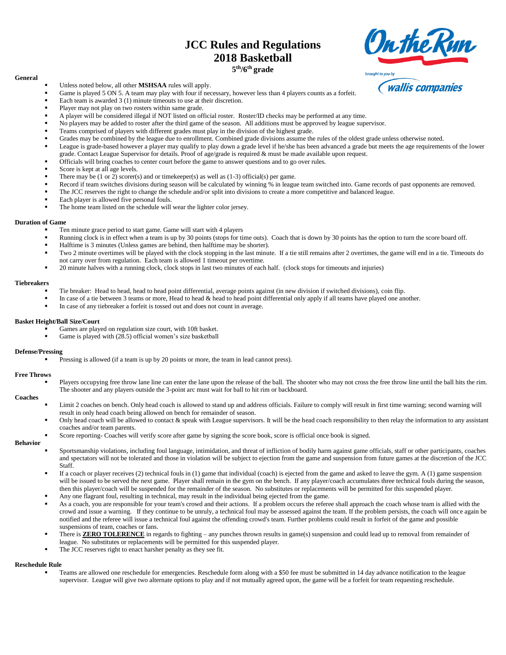# **JCC Rules and Regulations 2018 Basketball 5 th/6th grade**

# **Onthe Run** brought to you b

## **General**

- Unless noted below, all other **MSHSAA** rules will apply.
- Game is played 5 ON 5. A team may play with four if necessary, however less than 4 players counts as a forfeit.
- Each team is awarded  $3(1)$  minute timeouts to use at their discretion.
- Player may not play on two rosters within same grade.
- A player will be considered illegal if NOT listed on official roster. Roster/ID checks may be performed at any time.
- No players may be added to roster after the third game of the season. All additions must be approved by league supervisor.
- Teams comprised of players with different grades must play in the division of the highest grade.
- Grades may be combined by the league due to enrollment. Combined grade divisions assume the rules of the oldest grade unless otherwise noted.
- League is grade-based however a player may qualify to play down a grade level if he/she has been advanced a grade but meets the age requirements of the lower grade. Contact League Supervisor for details. Proof of age/grade is required & must be made available upon request.
- Officials will bring coaches to center court before the game to answer questions and to go over rules.
- Score is kept at all age levels.
- There may be  $(1 \text{ or } 2)$  scorer(s) and or timekeeper(s) as well as  $(1-3)$  official(s) per game.
- Record if team switches divisions during season will be calculated by winning % in league team switched into. Game records of past opponents are removed.
- The JCC reserves the right to change the schedule and/or split into divisions to create a more competitive and balanced league.
- Each player is allowed five personal fouls.
- The home team listed on the schedule will wear the lighter color jersey.

## **Duration of Game**

- Ten minute grace period to start game. Game will start with 4 players
- Running clock is in effect when a team is up by 30 points (stops for time outs). Coach that is down by 30 points has the option to turn the score board off.
- Halftime is 3 minutes (Unless games are behind, then halftime may be shorter).
- Two 2 minute overtimes will be played with the clock stopping in the last minute. If a tie still remains after 2 overtimes, the game will end in a tie. Timeouts do not carry over from regulation. Each team is allowed 1 timeout per overtime.
- 20 minute halves with a running clock, clock stops in last two minutes of each half. (clock stops for timeouts and injuries)

Score reporting- Coaches will verify score after game by signing the score book, score is official once book is signed.

### **Tiebreakers**

- Tie breaker: Head to head, head to head point differential, average points against (in new division if switched divisions), coin flip.
- In case of a tie between 3 teams or more, Head to head & head to head point differential only apply if all teams have played one another.
- In case of any tiebreaker a forfeit is tossed out and does not count in average.

## **Basket Height/Ball Size/Court**

- Games are played on regulation size court, with 10ft basket.
- Game is played with (28.5) official women's size basketball

## **Defense/Pressing**

Pressing is allowed (if a team is up by 20 points or more, the team in lead cannot press).

### **Free Throws**

Players occupying free throw lane line can enter the lane upon the release of the ball. The shooter who may not cross the free throw line until the ball hits the rim. The shooter and any players outside the 3-point arc must wait for ball to hit rim or backboard.

## **Coaches**

- Limit 2 coaches on bench. Only head coach is allowed to stand up and address officials. Failure to comply will result in first time warning; second warning will result in only head coach being allowed on bench for remainder of season.
- Only head coach will be allowed to contact & speak with League supervisors. It will be the head coach responsibility to then relay the information to any assistant coaches and/or team parents.

## **Behavior**

- Sportsmanship violations, including foul language, intimidation, and threat of infliction of bodily harm against game officials, staff or other participants, coaches and spectators will not be tolerated and those in violation will be subject to ejection from the game and suspension from future games at the discretion of the JCC
- Staff.
- If a coach or player receives (2) technical fouls in (1) game that individual (coach) is ejected from the game and asked to leave the gym. A (1) game suspension will be issued to be served the next game. Player shall remain in the gym on the bench. If any player/coach accumulates three technical fouls during the season, then this player/coach will be suspended for the remainder of the season. No substitutes or replacements will be permitted for this suspended player.
- Any one flagrant foul, resulting in technical, may result in the individual being ejected from the game.
- As a coach, you are responsible for your team's crowd and their actions. If a problem occurs the referee shall approach the coach whose team is allied with the crowd and issue a warning. If they continue to be unruly, a technical foul may be assessed against the team. If the problem persists, the coach will once again be notified and the referee will issue a technical foul against the offending crowd's team. Further problems could result in forfeit of the game and possible suspensions of team, coaches or fans.
- There is **ZERO TOLERENCE** in regards to fighting any punches thrown results in game(s) suspension and could lead up to removal from remainder of league. No substitutes or replacements will be permitted for this suspended player.
- The JCC reserves right to enact harsher penalty as they see fit.

## **Reschedule Rule**